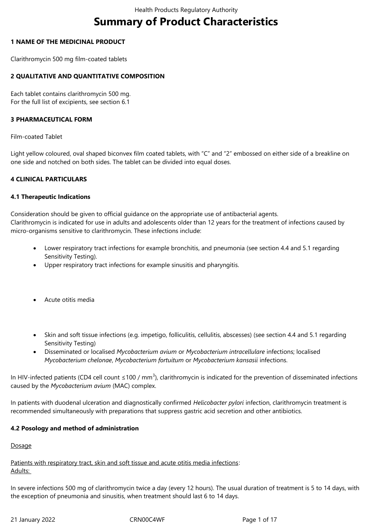# **Summary of Product Characteristics**

## **1 NAME OF THE MEDICINAL PRODUCT**

Clarithromycin 500 mg film-coated tablets

# **2 QUALITATIVE AND QUANTITATIVE COMPOSITION**

Each tablet contains clarithromycin 500 mg. For the full list of excipients, see section 6.1

# **3 PHARMACEUTICAL FORM**

Film-coated Tablet

Light yellow coloured, oval shaped biconvex film coated tablets, with "C" and "2" embossed on either side of a breakline on one side and notched on both sides. The tablet can be divided into equal doses.

# **4 CLINICAL PARTICULARS**

#### **4.1 Therapeutic Indications**

Consideration should be given to official guidance on the appropriate use of antibacterial agents. Clarithromycin is indicated for use in adults and adolescents older than 12 years for the treatment of infections caused by micro-organisms sensitive to clarithromycin. These infections include:

- Lower respiratory tract infections for example bronchitis, and pneumonia (see section 4.4 and 5.1 regarding Sensitivity Testing).
- Upper respiratory tract infections for example sinusitis and pharyngitis.
- Acute otitis media
- Skin and soft tissue infections (e.g. impetigo, folliculitis, cellulitis, abscesses) (see section 4.4 and 5.1 regarding Sensitivity Testing)
- Disseminated or localised *Mycobacterium avium* or *Mycobacterium intracellulare* infections; localised *Mycobacterium chelonae*, *Mycobacterium fortuitum* or *Mycobacterium kansasii* infections.

In HIV-infected patients (CD4 cell count ≤100 / mm<sup>3</sup>), clarithromycin is indicated for the prevention of disseminated infections caused by the *Mycobacterium avium* (MAC) complex.

In patients with duodenal ulceration and diagnostically confirmed *Helicobacter pylori* infection, clarithromycin treatment is recommended simultaneously with preparations that suppress gastric acid secretion and other antibiotics.

# **4.2 Posology and method of administration**

**Dosage** 

Patients with respiratory tract, skin and soft tissue and acute otitis media infections: Adults:

In severe infections 500 mg of clarithromycin twice a day (every 12 hours). The usual duration of treatment is 5 to 14 days, with the exception of pneumonia and sinusitis, when treatment should last 6 to 14 days.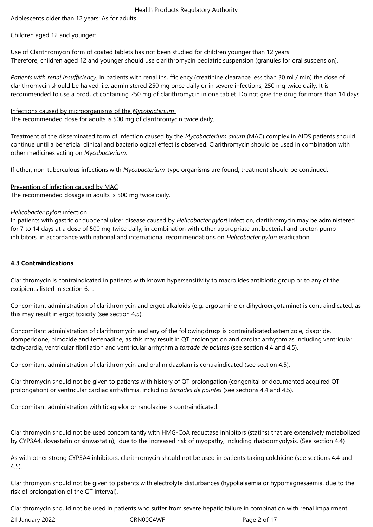Adolescents older than 12 years: As for adults

# Children aged 12 and younger:

Use of Clarithromycin form of coated tablets has not been studied for children younger than 12 years. Therefore, children aged 12 and younger should use clarithromycin pediatric suspension (granules for oral suspension).

*Patients with renal insufficiency.* In patients with renal insufficiency (creatinine clearance less than 30 ml / min) the dose of clarithromycin should be halved, i.e. administered 250 mg once daily or in severe infections, 250 mg twice daily. It is recommended to use a product containing 250 mg of clarithromycin in one tablet. Do not give the drug for more than 14 days.

Infections caused by microorganisms of the *Mycobacterium*  The recommended dose for adults is 500 mg of clarithromycin twice daily.

Treatment of the disseminated form of infection caused by the *Mycobacterium avium* (MAC) complex in AIDS patients should continue until a beneficial clinical and bacteriological effect is observed. Clarithromycin should be used in combination with other medicines acting on *Mycobacterium*.

If other, non-tuberculous infections with *Mycobacterium*-type organisms are found, treatment should be continued.

Prevention of infection caused by MAC The recommended dosage in adults is 500 mg twice daily.

# *Helicobacter pylori* infection

In patients with gastric or duodenal ulcer disease caused by *Helicobacter pylori* infection, clarithromycin may be administered for 7 to 14 days at a dose of 500 mg twice daily, in combination with other appropriate antibacterial and proton pump inhibitors, in accordance with national and international recommendations on *Helicobacter pylori* eradication.

# **4.3 Contraindications**

Clarithromycin is contraindicated in patients with known hypersensitivity to macrolides antibiotic group or to any of the excipients listed in section 6.1.

Concomitant administration of clarithromycin and ergot alkaloids (e.g. ergotamine or dihydroergotamine) is contraindicated, as this may result in ergot toxicity (see section 4.5).

Concomitant administration of clarithromycin and any of the followingdrugs is contraindicated:astemizole, cisapride, domperidone, pimozide and terfenadine, as this may result in QT prolongation and cardiac arrhythmias including ventricular tachycardia, ventricular fibrillation and ventricular arrhythmia *torsade de pointes* (see section 4.4 and 4.5).

Concomitant administration of clarithromycin and oral midazolam is contraindicated (see section 4.5).

Clarithromycin should not be given to patients with history of QT prolongation (congenital or documented acquired QT prolongation) or ventricular cardiac arrhythmia, including *torsades de pointes* (see sections 4.4 and 4.5).

Concomitant administration with ticagrelor or ranolazine is contraindicated.

Clarithromycin should not be used concomitantly with HMG-CoA reductase inhibitors (statins) that are extensively metabolized by CYP3A4, (lovastatin or simvastatin), due to the increased risk of myopathy, including rhabdomyolysis. (See section 4.4)

As with other strong CYP3A4 inhibitors, clarithromycin should not be used in patients taking colchicine (see sections 4.4 and 4.5).

Clarithromycin should not be given to patients with electrolyte disturbances (hypokalaemia or hypomagnesaemia, due to the risk of prolongation of the QT interval).

Clarithromycin should not be used in patients who suffer from severe hepatic failure in combination with renal impairment.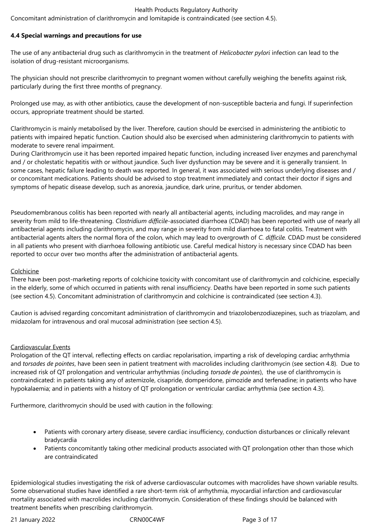Concomitant administration of clarithromycin and lomitapide is contraindicated (see section 4.5).

# **4.4 Special warnings and precautions for use**

The use of any antibacterial drug such as clarithromycin in the treatment of *Helicobacter pylori* infection can lead to the isolation of drug-resistant microorganisms.

The physician should not prescribe clarithromycin to pregnant women without carefully weighing the benefits against risk, particularly during the first three months of pregnancy.

Prolonged use may, as with other antibiotics, cause the development of non-susceptible bacteria and fungi. If superinfection occurs, appropriate treatment should be started.

Clarithromycin is mainly metabolised by the liver. Therefore, caution should be exercised in administering the antibiotic to patients with impaired hepatic function. Caution should also be exercised when administering clarithromycin to patients with moderate to severe renal impairment.

During Clarithromycin use it has been reported impaired hepatic function, including increased liver enzymes and parenchymal and / or cholestatic hepatitis with or without jaundice. Such liver dysfunction may be severe and it is generally transient. In some cases, hepatic failure leading to death was reported. In general, it was associated with serious underlying diseases and / or concomitant medications. Patients should be advised to stop treatment immediately and contact their doctor if signs and symptoms of hepatic disease develop, such as anorexia, jaundice, dark urine, pruritus, or tender abdomen.

Pseudomembranous colitis has been reported with nearly all antibacterial agents, including macrolides, and may range in severity from mild to life-threatening. *Clostridium difficile-*associated diarrhoea (CDAD) has been reported with use of nearly all antibacterial agents including clarithromycin, and may range in severity from mild diarrhoea to fatal colitis. Treatment with antibacterial agents alters the normal flora of the colon, which may lead to overgrowth of *C. difficile.* CDAD must be considered in all patients who present with diarrhoea following antibiotic use. Careful medical history is necessary since CDAD has been reported to occur over two months after the administration of antibacterial agents.

# Colchicine

There have been post-marketing reports of colchicine toxicity with concomitant use of clarithromycin and colchicine, especially in the elderly, some of which occurred in patients with renal insufficiency. Deaths have been reported in some such patients (see section 4.5). Concomitant administration of clarithromycin and colchicine is contraindicated (see section 4.3).

Caution is advised regarding concomitant administration of clarithromycin and triazolobenzodiazepines, such as triazolam, and midazolam for intravenous and oral mucosal administration (see section 4.5).

# Cardiovascular Events

Prologation of the QT interval, reflecting effects on cardiac repolarisation, imparting a risk of developing cardiac arrhythmia and *torsades de pointes*, have been seen in patient treatment with macrolides including clarithromycin (see section 4.8). Due to increased risk of QT prolongation and ventricular arrhythmias (including *torsade de pointes*), the use of clarithromycin is contraindicated: in patients taking any of astemizole, cisapride, domperidone, pimozide and terfenadine; in patients who have hypokalaemia; and in patients with a history of QT prolongation or ventricular cardiac arrhythmia (see section 4.3).

Furthermore, clarithromycin should be used with caution in the following:

- Patients with coronary artery disease, severe cardiac insufficiency, conduction disturbances or clinically relevant bradycardia
- Patients concomitantly taking other medicinal products associated with QT prolongation other than those which are contraindicated

Epidemiological studies investigating the risk of adverse cardiovascular outcomes with macrolides have shown variable results. Some observational studies have identified a rare short-term risk of arrhythmia, myocardial infarction and cardiovascular mortality associated with macrolides including clarithromycin. Consideration of these findings should be balanced with treatment benefits when prescribing clarithromycin.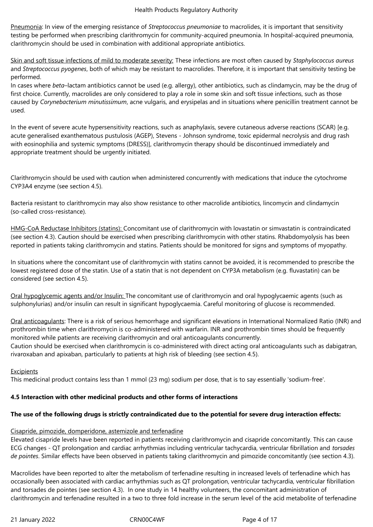Pneumonia: In view of the emerging resistance of *Streptococcus pneumoniae* to macrolides, it is important that sensitivity testing be performed when prescribing clarithromycin for community-acquired pneumonia. In hospital-acquired pneumonia, clarithromycin should be used in combination with additional appropriate antibiotics.

Skin and soft tissue infections of mild to moderate severity: These infections are most often caused by *Staphylococcus aureus*  and *Streptococcus pyogenes*, both of which may be resistant to macrolides. Therefore, it is important that sensitivity testing be performed.

In cases where *beta*–lactam antibiotics cannot be used (e.g. allergy), other antibiotics, such as clindamycin, may be the drug of first choice. Currently, macrolides are only considered to play a role in some skin and soft tissue infections, such as those caused by *Corynebacterium minutissimum*, acne vulgaris, and erysipelas and in situations where penicillin treatment cannot be used.

In the event of severe acute hypersensitivity reactions, such as anaphylaxis, severe cutaneous adverse reactions (SCAR) [e.g. acute generalised exanthematous pustulosis (AGEP), Stevens - Johnson syndrome, toxic epidermal necrolysis and drug rash with eosinophilia and systemic symptoms (DRESS)], clarithromycin therapy should be discontinued immediately and appropriate treatment should be urgently initiated.

Clarithromycin should be used with caution when administered concurrently with medications that induce the cytochrome CYP3A4 enzyme (see section 4.5).

Bacteria resistant to clarithromycin may also show resistance to other macrolide antibiotics, lincomycin and clindamycin (so-called cross-resistance).

HMG-CoA Reductase Inhibitors (statins): Concomitant use of clarithromycin with lovastatin or simvastatin is contraindicated (see section 4.3). Caution should be exercised when prescribing clarithromycin with other statins. Rhabdomyolysis has been reported in patients taking clarithromycin and statins. Patients should be monitored for signs and symptoms of myopathy.

In situations where the concomitant use of clarithromycin with statins cannot be avoided, it is recommended to prescribe the lowest registered dose of the statin. Use of a statin that is not dependent on CYP3A metabolism (e.g. fluvastatin) can be considered (see section 4.5).

Oral hypoglycemic agents and/or Insulin: The concomitant use of clarithromycin and oral hypoglycaemic agents (such as sulphonylurias) and/or insulin can result in significant hypoglycaemia. Careful monitoring of glucose is recommended.

Oral anticoagulants: There is a risk of serious hemorrhage and significant elevations in International Normalized Ratio (INR) and prothrombin time when clarithromycin is co-administered with warfarin. INR and prothrombin times should be frequently monitored while patients are receiving clarithromycin and oral anticoagulants concurrently.

Caution should be exercised when clarithromycin is co-administered with direct acting oral anticoagulants such as dabigatran, rivaroxaban and apixaban, particularly to patients at high risk of bleeding (see section 4.5).

#### **Excipients**

This medicinal product contains less than 1 mmol (23 mg) sodium per dose, that is to say essentially 'sodium-free'.

# **4.5 Interaction with other medicinal products and other forms of interactions**

# **The use of the following drugs is strictly contraindicated due to the potential for severe drug interaction effects:**

#### Cisapride, pimozide, domperidone, astemizole and terfenadine

Elevated cisapride levels have been reported in patients receiving clarithromycin and cisapride concomitantly. This can cause ECG changes - QT prolongation and cardiac arrhythmias including ventricular tachycardia, ventricular fibrillation and *torsades de pointes*. Similar effects have been observed in patients taking clarithromycin and pimozide concomitantly (see section 4.3).

Macrolides have been reported to alter the metabolism of terfenadine resulting in increased levels of terfenadine which has occasionally been associated with cardiac arrhythmias such as QT prolongation, ventricular tachycardia, ventricular fibrillation and torsades de pointes (see section 4.3). In one study in 14 healthy volunteers, the concomitant administration of clarithromycin and terfenadine resulted in a two to three fold increase in the serum level of the acid metabolite of terfenadine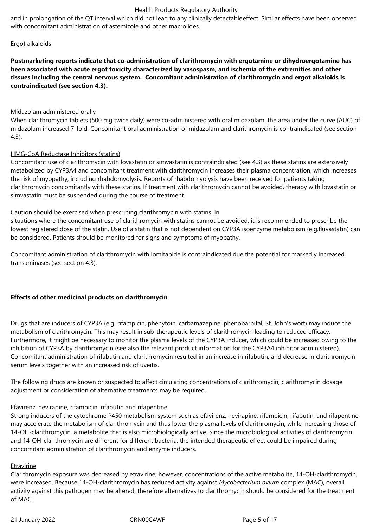and in prolongation of the QT interval which did not lead to any clinically detectableeffect. Similar effects have been observed with concomitant administration of astemizole and other macrolides.

# Ergot alkaloids

**Postmarketing reports indicate that co-administration of clarithromycin with ergotamine or dihydroergotamine has been associated with acute ergot toxicity characterized by vasospasm, and ischemia of the extremities and other tissues including the central nervous system. Concomitant administration of clarithromycin and ergot alkaloids is contraindicated (see section 4.3).**

# Midazolam administered orally

When clarithromycin tablets (500 mg twice daily) were co-administered with oral midazolam, the area under the curve (AUC) of midazolam increased 7-fold. Concomitant oral administration of midazolam and clarithromycin is contraindicated (see section 4.3).

# HMG-CoA Reductase Inhibitors (statins)

Concomitant use of clarithromycin with lovastatin or simvastatin is contraindicated (see 4.3) as these statins are extensively metabolized by CYP3A4 and concomitant treatment with clarithromycin increases their plasma concentration, which increases the risk of myopathy, including rhabdomyolysis. Reports of rhabdomyolysis have been received for patients taking clarithromycin concomitantly with these statins. If treatment with clarithromycin cannot be avoided, therapy with lovastatin or simvastatin must be suspended during the course of treatment.

Caution should be exercised when prescribing clarithromycin with statins. In

situations where the concomitant use of clarithromycin with statins cannot be avoided, it is recommended to prescribe the lowest registered dose of the statin. Use of a statin that is not dependent on CYP3A isoenzyme metabolism (e.g.fluvastatin) can be considered. Patients should be monitored for signs and symptoms of myopathy.

Concomitant administration of clarithromycin with lomitapide is contraindicated due the potential for markedly increased transaminases (see section 4.3).

# **Effects of other medicinal products on clarithromycin**

Drugs that are inducers of CYP3A (e.g. rifampicin, phenytoin, carbamazepine, phenobarbital, St. John's wort) may induce the metabolism of clarithromycin. This may result in sub-therapeutic levels of clarithromycin leading to reduced efficacy. Furthermore, it might be necessary to monitor the plasma levels of the CYP3A inducer, which could be increased owing to the inhibition of CYP3A by clarithromycin (see also the relevant product information for the CYP3A4 inhibitor administered). Concomitant administration of rifabutin and clarithromycin resulted in an increase in rifabutin, and decrease in clarithromycin serum levels together with an increased risk of uveitis.

The following drugs are known or suspected to affect circulating concentrations of clarithromycin; clarithromycin dosage adjustment or consideration of alternative treatments may be required.

#### Efavirenz, nevirapine, rifampicin, rifabutin and rifapentine

Strong inducers of the cytochrome P450 metabolism system such as efavirenz, nevirapine, rifampicin, rifabutin, and rifapentine may accelerate the metabolism of clarithromycin and thus lower the plasma levels of clarithromycin, while increasing those of 14-OH-clarithromycin, a metabolite that is also microbiologically active. Since the microbiological activities of clarithromycin and 14-OH-clarithromycin are different for different bacteria, the intended therapeutic effect could be impaired during concomitant administration of clarithromycin and enzyme inducers.

#### Etravirine

Clarithromycin exposure was decreased by etravirine; however, concentrations of the active metabolite, 14-OH-clarithromycin, were increased. Because 14-OH-clarithromycin has reduced activity against *Mycobacterium avium* complex (MAC), overall activity against this pathogen may be altered; therefore alternatives to clarithromycin should be considered for the treatment of MAC.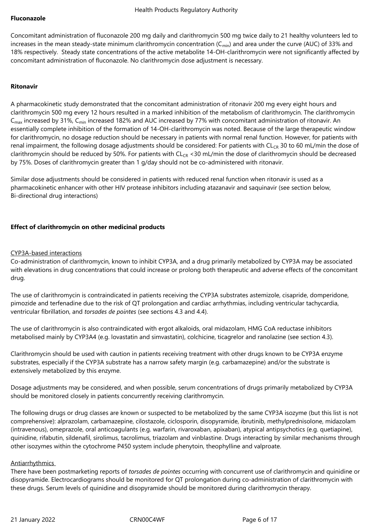#### **Fluconazole**

Concomitant administration of fluconazole 200 mg daily and clarithromycin 500 mg twice daily to 21 healthy volunteers led to increases in the mean steady-state minimum clarithromycin concentration ( $C_{min}$ ) and area under the curve (AUC) of 33% and 18% respectively. Steady state concentrations of the active metabolite 14-OH-clarithromycin were not significantly affected by concomitant administration of fluconazole. No clarithromycin dose adjustment is necessary.

## **Ritonavir**

A pharmacokinetic study demonstrated that the concomitant administration of ritonavir 200 mg every eight hours and clarithromycin 500 mg every 12 hours resulted in a marked inhibition of the metabolism of clarithromycin. The clarithromycin  $C<sub>max</sub>$  increased by 31%,  $C<sub>min</sub>$  increased 182% and AUC increased by 77% with concomitant administration of ritonavir. An essentially complete inhibition of the formation of 14-OH-clarithromycin was noted. Because of the large therapeutic window for clarithromycin, no dosage reduction should be necessary in patients with normal renal function. However, for patients with renal impairment, the following dosage adjustments should be considered: For patients with  $CL_{CR}$  30 to 60 mL/min the dose of clarithromycin should be reduced by 50%. For patients with  $CL_{CR}$  <30 mL/min the dose of clarithromycin should be decreased by 75%. Doses of clarithromycin greater than 1 g/day should not be co-administered with ritonavir.

Similar dose adjustments should be considered in patients with reduced renal function when ritonavir is used as a pharmacokinetic enhancer with other HIV protease inhibitors including atazanavir and saquinavir (see section below, Bi-directional drug interactions)

# **Effect of clarithromycin on other medicinal products**

#### CYP3A-based interactions

Co-administration of clarithromycin, known to inhibit CYP3A, and a drug primarily metabolized by CYP3A may be associated with elevations in drug concentrations that could increase or prolong both therapeutic and adverse effects of the concomitant drug.

The use of clarithromycin is contraindicated in patients receiving the CYP3A substrates astemizole, cisapride, domperidone, pimozide and terfenadine due to the risk of QT prolongation and cardiac arrhythmias, including ventricular tachycardia, ventricular fibrillation, and *torsades de pointes* (see sections 4.3 and 4.4).

The use of clarithromycin is also contraindicated with ergot alkaloids, oral midazolam, HMG CoA reductase inhibitors metabolised mainly by CYP3A4 (e.g. lovastatin and simvastatin), colchicine, ticagrelor and ranolazine (see section 4.3).

Clarithromycin should be used with caution in patients receiving treatment with other drugs known to be CYP3A enzyme substrates, especially if the CYP3A substrate has a narrow safety margin (e.g. carbamazepine) and/or the substrate is extensively metabolized by this enzyme.

Dosage adjustments may be considered, and when possible, serum concentrations of drugs primarily metabolized by CYP3A should be monitored closely in patients concurrently receiving clarithromycin.

The following drugs or drug classes are known or suspected to be metabolized by the same CYP3A isozyme (but this list is not comprehensive): alprazolam, carbamazepine, cilostazole, ciclosporin, disopyramide, ibrutinib, methylprednisolone, midazolam (intravenous), omeprazole, oral anticoagulants (e.g. warfarin, rivaroxaban, apixaban), atypical antipsychotics (e.g. quetiapine), quinidine, rifabutin, sildenafil, sirolimus, tacrolimus, triazolam and vinblastine. Drugs interacting by similar mechanisms through other isozymes within the cytochrome P450 system include phenytoin, theophylline and valproate.

#### Antiarrhythmics

There have been postmarketing reports of *torsades de pointes* occurring with concurrent use of clarithromycin and quinidine or disopyramide. Electrocardiograms should be monitored for QT prolongation during co-administration of clarithromycin with these drugs. Serum levels of quinidine and disopyramide should be monitored during clarithromycin therapy.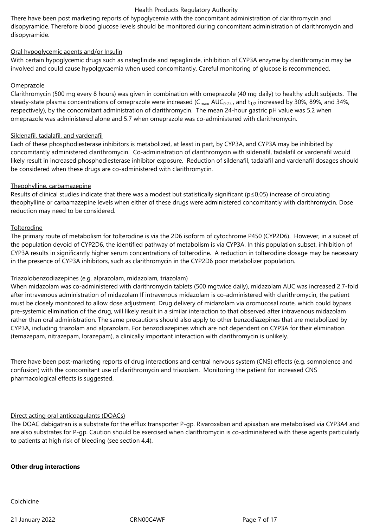There have been post marketing reports of hypoglycemia with the concomitant administration of clarithromycin and disopyramide. Therefore blood glucose levels should be monitored during concomitant administration of clarithromycin and disopyramide.

# Oral hypoglycemic agents and/or Insulin

With certain hypoglycemic drugs such as nateglinide and repaglinide, inhibition of CYP3A enzyme by clarithromycin may be involved and could cause hypolgycaemia when used concomitantly. Careful monitoring of glucose is recommended.

## Omeprazole

Clarithromycin (500 mg every 8 hours) was given in combination with omeprazole (40 mg daily) to healthy adult subjects. The steady-state plasma concentrations of omeprazole were increased ( $C_{\text{max}}$ , AU $C_{0-24}$ , and  $t_{1/2}$  increased by 30%, 89%, and 34%, respectively), by the concomitant administration of clarithromycin. The mean 24-hour gastric pH value was 5.2 when omeprazole was administered alone and 5.7 when omeprazole was co-administered with clarithromycin.

#### Sildenafil, tadalafil, and vardenafil

Each of these phosphodiesterase inhibitors is metabolized, at least in part, by CYP3A, and CYP3A may be inhibited by concomitantly administered clarithromycin. Co-administration of clarithromycin with sildenafil, tadalafil or vardenafil would likely result in increased phosphodiesterase inhibitor exposure. Reduction of sildenafil, tadalafil and vardenafil dosages should be considered when these drugs are co-administered with clarithromycin.

# Theophylline, carbamazepine

Results of clinical studies indicate that there was a modest but statistically significant (p≤0.05) increase of circulating theophylline or carbamazepine levels when either of these drugs were administered concomitantly with clarithromycin. Dose reduction may need to be considered.

#### **Tolterodine**

The primary route of metabolism for tolterodine is via the 2D6 isoform of cytochrome P450 (CYP2D6). However, in a subset of the population devoid of CYP2D6, the identified pathway of metabolism is via CYP3A. In this population subset, inhibition of CYP3A results in significantly higher serum concentrations of tolterodine. A reduction in tolterodine dosage may be necessary in the presence of CYP3A inhibitors, such as clarithromycin in the CYP2D6 poor metabolizer population.

#### Triazolobenzodiazepines (e.g. alprazolam, midazolam, triazolam)

When midazolam was co-administered with clarithromycin tablets (500 mgtwice daily), midazolam AUC was increased 2.7-fold after intravenous administration of midazolam If intravenous midazolam is co-administered with clarithromycin, the patient must be closely monitored to allow dose adjustment. Drug delivery of midazolam via oromucosal route, which could bypass pre-systemic elimination of the drug, will likely result in a similar interaction to that observed after intravenous midazolam rather than oral administration. The same precautions should also apply to other benzodiazepines that are metabolized by CYP3A, including triazolam and alprazolam. For benzodiazepines which are not dependent on CYP3A for their elimination (temazepam, nitrazepam, lorazepam), a clinically important interaction with clarithromycin is unlikely.

There have been post-marketing reports of drug interactions and central nervous system (CNS) effects (e.g. somnolence and confusion) with the concomitant use of clarithromycin and triazolam. Monitoring the patient for increased CNS pharmacological effects is suggested.

# Direct acting oral anticoagulants (DOACs)

The DOAC dabigatran is a substrate for the efflux transporter P-gp. Rivaroxaban and apixaban are metabolised via CYP3A4 and are also substrates for P-gp. Caution should be exercised when clarithromycin is co-administered with these agents particularly to patients at high risk of bleeding (see section 4.4).

#### **Other drug interactions**

**Colchicine** 

21 January 2022 **CRN00C4WF** Page 7 of 17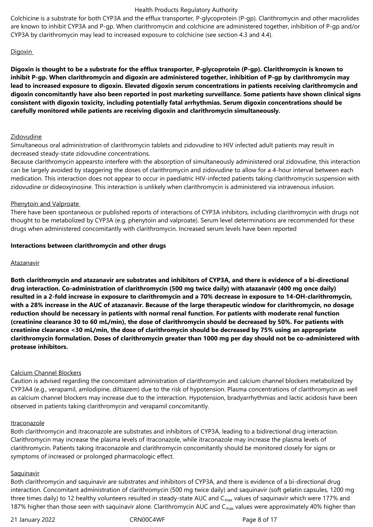Colchicine is a substrate for both CYP3A and the efflux transporter, P-glycoprotein (P-gp). Clarithromycin and other macrolides are known to inhibit CYP3A and P-gp. When clarithromycin and colchicine are administered together, inhibition of P-gp and/or CYP3A by clarithromycin may lead to increased exposure to colchicine (see section 4.3 and 4.4).

## Digoxin

**Digoxin is thought to be a substrate for the efflux transporter, P-glycoprotein (P-gp). Clarithromycin is known to inhibit P-gp. When clarithromycin and digoxin are administered together, inhibition of P-gp by clarithromycin may lead to increased exposure to digoxin. Elevated digoxin serum concentrations in patients receiving clarithromycin and digoxin concomitantly have also been reported in post marketing surveillance. Some patients have shown clinical signs consistent with digoxin toxicity, including potentially fatal arrhythmias. Serum digoxin concentrations should be carefully monitored while patients are receiving digoxin and clarithromycin simultaneously.** 

#### Zidovudine

Simultaneous oral administration of clarithromycin tablets and zidovudine to HIV infected adult patients may result in decreased steady-state zidovudine concentrations.

Because clarithromycin appearsto interfere with the absorption of simultaneously administered oral zidovudine, this interaction can be largely avoided by staggering the doses of clarithromycin and zidovudine to allow for a 4-hour interval between each medication. This interaction does not appear to occur in paediatric HIV-infected patients taking clarithromycin suspension with zidovudine or dideoxyinosine. This interaction is unlikely when clarithromycin is administered via intravenous infusion.

#### Phenytoin and Valproate

There have been spontaneous or published reports of interactions of CYP3A inhibitors, including clarithromycin with drugs not thought to be metabolized by CYP3A (e.g. phenytoin and valproate). Serum level determinations are recommended for these drugs when administered concomitantly with clarithromycin. Increased serum levels have been reported

#### **Interactions between clarithromycin and other drugs**

#### **Atazanavir**

**Both clarithromycin and atazanavir are substrates and inhibitors of CYP3A, and there is evidence of a bi-directional drug interaction. Co-administration of clarithromycin (500 mg twice daily) with atazanavir (400 mg once daily) resulted in a 2-fold increase in exposure to clarithromycin and a 70% decrease in exposure to 14-OH-clarithromycin, with a 28% increase in the AUC of atazanavir. Because of the large therapeutic window for clarithromycin, no dosage reduction should be necessary in patients with normal renal function. For patients with moderate renal function (creatinine clearance 30 to 60 mL/min), the dose of clarithromycin should be decreased by 50%. For patients with creatinine clearance <30 mL/min, the dose of clarithromycin should be decreased by 75% using an appropriate clarithromycin formulation. Doses of clarithromycin greater than 1000 mg per day should not be co-administered with protease inhibitors.**

#### Calcium Channel Blockers

Caution is advised regarding the concomitant administration of clarithromycin and calcium channel blockers metabolized by CYP3A4 (e.g., verapamil, amlodipine, diltiazem) due to the risk of hypotension. Plasma concentrations of clarithromycin as well as calcium channel blockers may increase due to the interaction. Hypotension, bradyarrhythmias and lactic acidosis have been observed in patients taking clarithromycin and verapamil concomitantly.

#### Itraconazole

Both clarithromycin and itraconazole are substrates and inhibitors of CYP3A, leading to a bidirectional drug interaction. Clarithromycin may increase the plasma levels of itraconazole, while itraconazole may increase the plasma levels of clarithromycin. Patients taking itraconazole and clarithromycin concomitantly should be monitored closely for signs or symptoms of increased or prolonged pharmacologic effect.

#### **Saquinavir**

Both clarithromycin and saquinavir are substrates and inhibitors of CYP3A, and there is evidence of a bi-directional drug interaction. Concomitant administration of clarithromycin (500 mg twice daily) and saquinavir (soft gelatin capsules, 1200 mg three times daily) to 12 healthy volunteers resulted in steady-state AUC and  $C_{max}$  values of saquinavir which were 177% and 187% higher than those seen with saquinavir alone. Clarithromycin AUC and C<sub>max</sub> values were approximately 40% higher than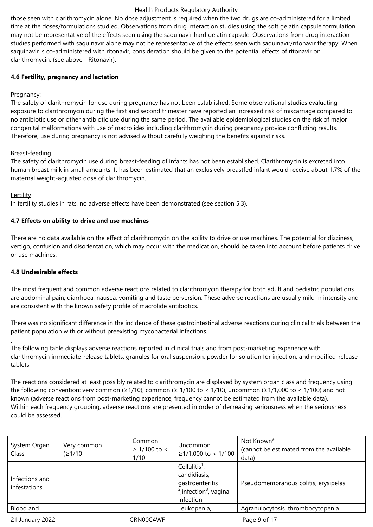those seen with clarithromycin alone. No dose adjustment is required when the two drugs are co-administered for a limited time at the doses/formulations studied. Observations from drug interaction studies using the soft gelatin capsule formulation may not be representative of the effects seen using the saquinavir hard gelatin capsule. Observations from drug interaction studies performed with saquinavir alone may not be representative of the effects seen with saquinavir/ritonavir therapy. When saquinavir is co-administered with ritonavir, consideration should be given to the potential effects of ritonavir on clarithromycin. (see above - Ritonavir).

# **4.6 Fertility, pregnancy and lactation**

# Pregnancy:

The safety of clarithromycin for use during pregnancy has not been established. Some observational studies evaluating exposure to clarithromycin during the first and second trimester have reported an increased risk of miscarriage compared to no antibiotic use or other antibiotic use during the same period. The available epidemiological studies on the risk of major congenital malformations with use of macrolides including clarithromycin during pregnancy provide conflicting results. Therefore, use during pregnancy is not advised without carefully weighing the benefits against risks.

# Breast-feeding

The safety of clarithromycin use during breast-feeding of infants has not been established. Clarithromycin is excreted into human breast milk in small amounts. It has been estimated that an exclusively breastfed infant would receive about 1.7% of the maternal weight-adjusted dose of clarithromycin.

# Fertility

In fertility studies in rats, no adverse effects have been demonstrated (see section 5.3).

# **4.7 Effects on ability to drive and use machines**

There are no data available on the effect of clarithromycin on the ability to drive or use machines. The potential for dizziness, vertigo, confusion and disorientation, which may occur with the medication, should be taken into account before patients drive or use machines.

# **4.8 Undesirable effects**

The most frequent and common adverse reactions related to clarithromycin therapy for both adult and pediatric populations are abdominal pain, diarrhoea, nausea, vomiting and taste perversion. These adverse reactions are usually mild in intensity and are consistent with the known safety profile of macrolide antibiotics.

There was no significant difference in the incidence of these gastrointestinal adverse reactions during clinical trials between the patient population with or without preexisting mycobacterial infections.

The following table displays adverse reactions reported in clinical trials and from post-marketing experience with clarithromycin immediate-release tablets, granules for oral suspension, powder for solution for injection, and modified-release tablets.

The reactions considered at least possibly related to clarithromycin are displayed by system organ class and frequency using the following convention: very common ( $\geq 1/10$ ), common ( $\geq 1/100$  to < 1/10), uncommon ( $\geq 1/1,000$  to < 1/100) and not known (adverse reactions from post-marketing experience; frequency cannot be estimated from the available data). Within each frequency grouping, adverse reactions are presented in order of decreasing seriousness when the seriousness could be assessed.

| System Organ<br>Class          | Very common<br>(21/10) | Common<br>$≥ 1/100$ to <<br>1/10 | Uncommon<br>$≥1/1,000$ to < 1/100                                                                                   | Not Known*<br>(cannot be estimated from the available<br>data) |
|--------------------------------|------------------------|----------------------------------|---------------------------------------------------------------------------------------------------------------------|----------------------------------------------------------------|
| Infections and<br>infestations |                        |                                  | Cellulitis <sup>1</sup> ,<br>candidiasis,<br>gastroenteritis<br>$2$ , infection <sup>3</sup> , vaginal<br>infection | Pseudomembranous colitis, erysipelas                           |
| Blood and                      |                        |                                  | Leukopenia,                                                                                                         | Agranulocytosis, thrombocytopenia                              |
| 21 January 2022                |                        | CRN00C4WF                        |                                                                                                                     | Page 9 of 17                                                   |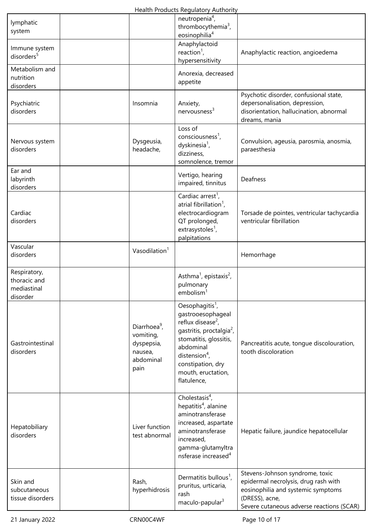| lymphatic<br>system                                     |                                                                                     | neutropenia <sup>4</sup> ,<br>thrombocythemia <sup>3</sup> ,<br>eosinophilia <sup>4</sup>                                                                                                                                                               |                                                                                                                                                                              |
|---------------------------------------------------------|-------------------------------------------------------------------------------------|---------------------------------------------------------------------------------------------------------------------------------------------------------------------------------------------------------------------------------------------------------|------------------------------------------------------------------------------------------------------------------------------------------------------------------------------|
| Immune system<br>disorders <sup>5</sup>                 |                                                                                     | Anaphylactoid<br>reaction <sup>1</sup> ,<br>hypersensitivity                                                                                                                                                                                            | Anaphylactic reaction, angioedema                                                                                                                                            |
| Metabolism and<br>nutrition<br>disorders                |                                                                                     | Anorexia, decreased<br>appetite                                                                                                                                                                                                                         |                                                                                                                                                                              |
| Psychiatric<br>disorders                                | Insomnia                                                                            | Anxiety,<br>nervousness <sup>3</sup>                                                                                                                                                                                                                    | Psychotic disorder, confusional state,<br>depersonalisation, depression,<br>disorientation, hallucination, abnormal<br>dreams, mania                                         |
| Nervous system<br>disorders                             | Dysgeusia,<br>headache,                                                             | Loss of<br>consciousness <sup>1</sup> ,<br>dyskinesia <sup>1</sup> ,<br>dizziness,<br>somnolence, tremor                                                                                                                                                | Convulsion, ageusia, parosmia, anosmia,<br>paraesthesia                                                                                                                      |
| Ear and<br>labyrinth<br>disorders                       |                                                                                     | Vertigo, hearing<br>impaired, tinnitus                                                                                                                                                                                                                  | Deafness                                                                                                                                                                     |
| Cardiac<br>disorders                                    |                                                                                     | Cardiac arrest <sup>1</sup> ,<br>atrial fibrillation <sup>1</sup> ,<br>electrocardiogram<br>QT prolonged,<br>extrasystoles <sup>1</sup> ,<br>palpitations                                                                                               | Torsade de pointes, ventricular tachycardia<br>ventricular fibrillation                                                                                                      |
| Vascular<br>disorders                                   | Vasodilation <sup>1</sup>                                                           |                                                                                                                                                                                                                                                         | Hemorrhage                                                                                                                                                                   |
| Respiratory,<br>thoracic and<br>mediastinal<br>disorder |                                                                                     | Asthma <sup>1</sup> , epistaxis <sup>2</sup> ,<br>pulmonary<br>embolism <sup>1</sup>                                                                                                                                                                    |                                                                                                                                                                              |
| Gastrointestinal<br>disorders                           | Diarrhoea <sup>9</sup> ,<br>vomiting,<br>dyspepsia,<br>nausea,<br>abdominal<br>pain | Oesophagitis <sup>1</sup> ,<br>gastrooesophageal<br>reflux disease <sup>2</sup> ,<br>gastritis, proctalgia <sup>2</sup> ,<br>stomatitis, glossitis,<br>abdominal<br>distension <sup>4</sup> ,<br>constipation, dry<br>mouth, eructation,<br>flatulence, | Pancreatitis acute, tongue discolouration,<br>tooth discoloration                                                                                                            |
| Hepatobiliary<br>disorders                              | Liver function<br>test abnormal                                                     | Cholestasis $4$ ,<br>hepatitis <sup>4</sup> , alanine<br>aminotransferase<br>increased, aspartate<br>aminotransferase<br>increased,<br>gamma-glutamyltra<br>nsferase increased <sup>4</sup>                                                             | Hepatic failure, jaundice hepatocellular                                                                                                                                     |
| Skin and<br>subcutaneous<br>tissue disorders            | Rash,<br>hyperhidrosis                                                              | Dermatitis bullous <sup>1</sup> ,<br>pruritus, urticaria,<br>rash<br>maculo-papular <sup>3</sup>                                                                                                                                                        | Stevens-Johnson syndrome, toxic<br>epidermal necrolysis, drug rash with<br>eosinophilia and systemic symptoms<br>(DRESS), acne,<br>Severe cutaneous adverse reactions (SCAR) |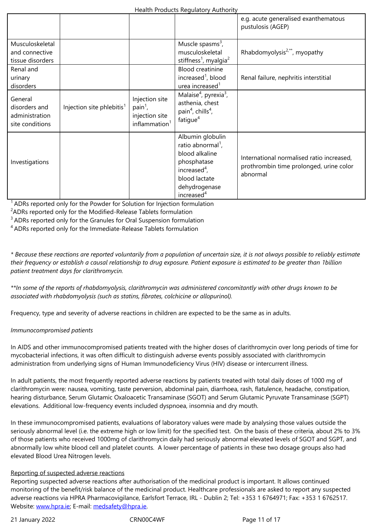| Musculoskeletal<br>and connective<br>tissue disorders         |                                       |                                                                                    | Muscle spasms <sup>3</sup> ,<br>musculoskeletal<br>stiffness <sup>1</sup> , myalgia <sup>2</sup>                                                                  | Rhabdomyolysis <sup>2,**</sup> , myopathy                                                        |
|---------------------------------------------------------------|---------------------------------------|------------------------------------------------------------------------------------|-------------------------------------------------------------------------------------------------------------------------------------------------------------------|--------------------------------------------------------------------------------------------------|
| Renal and<br>urinary<br>disorders                             |                                       |                                                                                    | <b>Blood creatinine</b><br>increased <sup>1</sup> , blood<br>urea increased <sup>1</sup>                                                                          | Renal failure, nephritis interstitial                                                            |
| General<br>disorders and<br>administration<br>site conditions | Injection site phlebitis <sup>1</sup> | Injection site<br>$\text{pain}^1$ ,<br>injection site<br>inflammation <sup>1</sup> | Malaise <sup>4</sup> , pyrexia <sup>3</sup> ,<br>asthenia, chest<br>pain <sup>4</sup> , chills <sup>4</sup> ,<br>fatigue <sup>4</sup>                             |                                                                                                  |
| Investigations                                                |                                       |                                                                                    | Albumin globulin<br>ratio abnormal <sup>1</sup> ,<br>blood alkaline<br>phosphatase<br>increased $4$ ,<br>blood lactate<br>dehydrogenase<br>increased <sup>4</sup> | International normalised ratio increased,<br>prothrombin time prolonged, urine color<br>abnormal |

<sup>1</sup> ADRs reported only for the Powder for Solution for Injection formulation

<sup>2</sup>ADRs reported only for the Modified-Release Tablets formulation

<sup>3</sup> ADRs reported only for the Granules for Oral Suspension formulation

<sup>4</sup>ADRs reported only for the Immediate-Release Tablets formulation

*\* Because these reactions are reported voluntarily from a population of uncertain size, it is not always possible to reliably estimate their frequency or establish a causal relationship to drug exposure. Patient exposure is estimated to be greater than 1billion patient treatment days for clarithromycin.*

*\*\*In some of the reports of rhabdomyolysis, clarithromycin was administered concomitantly with other drugs known to be associated with rhabdomyolysis (such as statins, fibrates, colchicine or allopurinol).*

Frequency, type and severity of adverse reactions in children are expected to be the same as in adults.

#### *Immunocompromised patients*

In AIDS and other immunocompromised patients treated with the higher doses of clarithromycin over long periods of time for mycobacterial infections, it was often difficult to distinguish adverse events possibly associated with clarithromycin administration from underlying signs of Human Immunodeficiency Virus (HIV) disease or intercurrent illness.

In adult patients, the most frequently reported adverse reactions by patients treated with total daily doses of 1000 mg of clarithromycin were: nausea, vomiting, taste perversion, abdominal pain, diarrhoea, rash, flatulence, headache, constipation, hearing disturbance, Serum Glutamic Oxaloacetic Transaminase (SGOT) and Serum Glutamic Pyruvate Transaminase (SGPT) elevations. Additional low-frequency events included dyspnoea, insomnia and dry mouth.

In these immunocompromised patients, evaluations of laboratory values were made by analysing those values outside the seriously abnormal level (i.e. the extreme high or low limit) for the specified test. On the basis of these criteria, about 2% to 3% of those patients who received 1000mg of clarithromycin daily had seriously abnormal elevated levels of SGOT and SGPT, and abnormally low white blood cell and platelet counts. A lower percentage of patients in these two dosage groups also had elevated Blood Urea Nitrogen levels.

#### Reporting of suspected adverse reactions

Reporting suspected adverse reactions after authorisation of the medicinal product is important. It allows continued monitoring of the benefit/risk balance of the medicinal product. Healthcare professionals are asked to report any suspected adverse reactions via HPRA Pharmacovigilance, Earlsfort Terrace, IRL - Dublin 2; Tel: +353 1 6764971; Fax: +353 1 6762517. Website: www.hpra.ie; E-mail: medsafety@hpra.ie.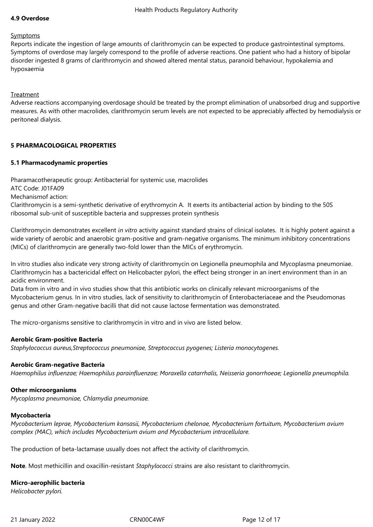## **4.9 Overdose**

#### Symptoms

Reports indicate the ingestion of large amounts of clarithromycin can be expected to produce gastrointestinal symptoms. Symptoms of overdose may largely correspond to the profile of adverse reactions. One patient who had a history of bipolar disorder ingested 8 grams of clarithromycin and showed altered mental status, paranoid behaviour, hypokalemia and hypoxaemia

# Treatment

Adverse reactions accompanying overdosage should be treated by the prompt elimination of unabsorbed drug and supportive measures. As with other macrolides, clarithromycin serum levels are not expected to be appreciably affected by hemodialysis or peritoneal dialysis.

# **5 PHARMACOLOGICAL PROPERTIES**

#### **5.1 Pharmacodynamic properties**

Pharamacotherapeutic group: Antibacterial for systemic use, macrolides ATC Code: J01FA09 Mechanismof action: Clarithromycin is a semi-synthetic derivative of erythromycin A. It exerts its antibacterial action by binding to the 50S ribosomal sub-unit of susceptible bacteria and suppresses protein synthesis

Clarithromycin demonstrates excellent *in vitro* activity against standard strains of clinical isolates. It is highly potent against a wide variety of aerobic and anaerobic gram-positive and gram-negative organisms. The minimum inhibitory concentrations (MICs) of clarithromycin are generally two-fold lower than the MICs of erythromycin.

In vitro studies also indicate very strong activity of clarithromycin on Legionella pneumophila and Mycoplasma pneumoniae. Clarithromycin has a bactericidal effect on Helicobacter pylori, the effect being stronger in an inert environment than in an acidic environment.

Data from in vitro and in vivo studies show that this antibiotic works on clinically relevant microorganisms of the Mycobacterium genus. In in vitro studies, lack of sensitivity to clarithromycin of Enterobacteriaceae and the Pseudomonas genus and other Gram-negative bacilli that did not cause lactose fermentation was demonstrated.

The micro-organisms sensitive to clarithromycin in vitro and in vivo are listed below.

#### **Aerobic Gram-positive Bacteria**

*Staphylococcus aureus,Streptococcus pneumoniae, Streptococcus pyogenes; Listeria monocytogenes.*

#### **Aerobic Gram-negative Bacteria**

*Haemophilus influenzae; Haemophilus parainfluenzae; Moraxella catarrhalis, Neisseria gonorrhoeae; Legionella pneumophila.*

#### **Other microorganisms**

*Mycoplasma pneumoniae, Chlamydia pneumoniae.*

#### **Mycobacteria**

*Mycobacterium leprae, Mycobacterium kansasii, Mycobacterium chelonae, Mycobacterium fortuitum, Mycobacterium avium complex (MAC), which includes Mycobacterium avium and Mycobacterium intracellulare.*

The production of beta-lactamase usually does not affect the activity of clarithromycin.

**Note**. Most methicillin and oxacillin-resistant *Staphylococci* strains are also resistant to clarithromycin.

#### **Micro-aerophilic bacteria**

*Helicobacter pylori.*

21 January 2022 **CRN00C4WF** Page 12 of 17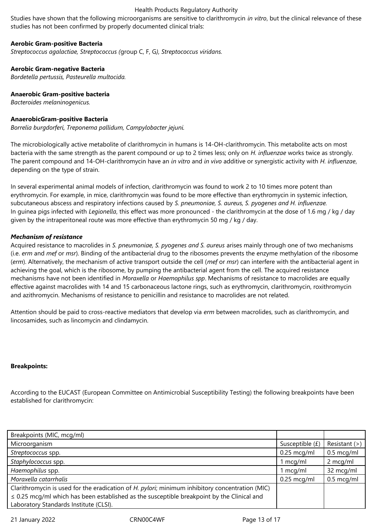Studies have shown that the following microorganisms are sensitive to clarithromycin *in vitro*, but the clinical relevance of these studies has not been confirmed by properly documented clinical trials:

#### **Aerobic Gram-positive Bacteria**

*Streptococcus agalactiae, Streptococcus (*group C, F, G*), Streptococcus viridans.*

# **Aerobic Gram-negative Bacteria**

*Bordetella pertussis, Pasteurella multocida.*

# **Anaerobic Gram-positive bacteria**

*Bacteroides melaninogenicus.*

# **AnaerobicGram-positive Bacteria**

*Borrelia burgdorferi, Treponema pallidum, Campylobacter jejuni.*

The microbiologically active metabolite of clarithromycin in humans is 14-OH-clarithromycin. This metabolite acts on most bacteria with the same strength as the parent compound or up to 2 times less; only on *H. influenzae* works twice as strongly. The parent compound and 14-OH-clarithromycin have an *in vitro* and *in vivo* additive or synergistic activity with *H. influenzae*, depending on the type of strain.

In several experimental animal models of infection, clarithromycin was found to work 2 to 10 times more potent than erythromycin. For example, in mice, clarithromycin was found to be more effective than erythromycin in systemic infection, subcutaneous abscess and respiratory infections caused by *S. pneumoniae, S. aureus, S. pyogenes and H. influenzae.* In guinea pigs infected with *Legionella*, this effect was more pronounced - the clarithromycin at the dose of 1.6 mg / kg / day given by the intraperitoneal route was more effective than erythromycin 50 mg / kg / day.

# *Mechanism of resistance*

Acquired resistance to macrolides in *S. pneumoniae, S. pyogenes and S. aureus* arises mainly through one of two mechanisms (i.e. *erm* and *mef* or *msr*). Binding of the antibacterial drug to the ribosomes prevents the enzyme methylation of the ribosome (*erm*). Alternatively, the mechanism of active transport outside the cell (*mef* or *msr*) can interfere with the antibacterial agent in achieving the goal, which is the ribosome, by pumping the antibacterial agent from the cell. The acquired resistance mechanisms have not been identified in *Moraxella* or *Haemophilus spp*. Mechanisms of resistance to macrolides are equally effective against macrolides with 14 and 15 carbonaceous lactone rings, such as erythromycin, clarithromycin, roxithromycin and azithromycin. Mechanisms of resistance to penicillin and resistance to macrolides are not related.

Attention should be paid to cross-reactive mediators that develop via *erm* between macrolides, such as clarithromycin, and lincosamides, such as lincomycin and clindamycin.

#### **Breakpoints:**

According to the EUCAST (European Committee on Antimicrobial Susceptibility Testing) the following breakpoints have been established for clarithromycin:

| Breakpoints (MIC, mcg/ml)                                                                       |                       |                      |
|-------------------------------------------------------------------------------------------------|-----------------------|----------------------|
| Microorganism                                                                                   | Susceptible (£)       | Resistant (>)        |
| Streptococcus spp.                                                                              | $0.25 \text{ mcg/ml}$ | $0.5 \text{ mcq/ml}$ |
| Staphylococcus spp.                                                                             | l mcg/ml              | 2 mcg/ml             |
| Haemophilus spp.                                                                                | mcg/ml                | 32 mcg/ml            |
| Moraxella catarrhalis                                                                           | $0.25$ mcg/ml         | $0.5 \text{~mcg/ml}$ |
| Clarithromycin is used for the eradication of H. pylori; minimum inhibitory concentration (MIC) |                       |                      |
| $\leq$ 0.25 mcg/ml which has been established as the susceptible breakpoint by the Clinical and |                       |                      |
| Laboratory Standards Institute (CLSI).                                                          |                       |                      |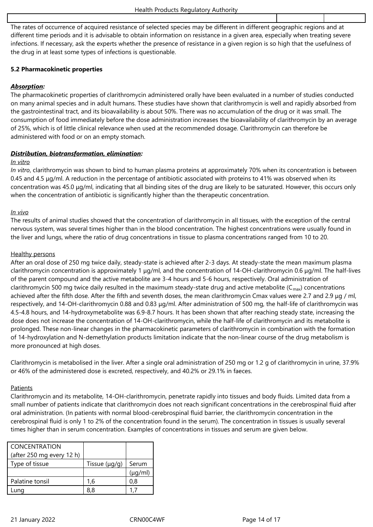The rates of occurrence of acquired resistance of selected species may be different in different geographic regions and at different time periods and it is advisable to obtain information on resistance in a given area, especially when treating severe infections. If necessary, ask the experts whether the presence of resistance in a given region is so high that the usefulness of the drug in at least some types of infections is questionable.

# **5.2 Pharmacokinetic properties**

# *Absorption:*

The pharmacokinetic properties of clarithromycin administered orally have been evaluated in a number of studies conducted on many animal species and in adult humans. These studies have shown that clarithromycin is well and rapidly absorbed from the gastrointestinal tract, and its bioavailability is about 50%. There was no accumulation of the drug or it was small. The consumption of food immediately before the dose administration increases the bioavailability of clarithromycin by an average of 25%, which is of little clinical relevance when used at the recommended dosage. Clarithromycin can therefore be administered with food or on an empty stomach.

# *Distribution, biotransformation, elimination:*

#### *In vitro*

*In vitro*, clarithromycin was shown to bind to human plasma proteins at approximately 70% when its concentration is between 0.45 and 4.5 μg/ml. A reduction in the percentage of antibiotic associated with proteins to 41% was observed when its concentration was 45.0 μg/ml, indicating that all binding sites of the drug are likely to be saturated. However, this occurs only when the concentration of antibiotic is significantly higher than the therapeutic concentration.

# *In vivo*

The results of animal studies showed that the concentration of clarithromycin in all tissues, with the exception of the central nervous system, was several times higher than in the blood concentration. The highest concentrations were usually found in the liver and lungs, where the ratio of drug concentrations in tissue to plasma concentrations ranged from 10 to 20.

# Healthy persons

After an oral dose of 250 mg twice daily, steady-state is achieved after 2-3 days. At steady-state the mean maximum plasma clarithromycin concentration is approximately 1 μg/ml, and the concentration of 14-OH-clarithromycin 0.6 μg/ml. The half-lives of the parent compound and the active metabolite are 3-4 hours and 5-6 hours, respectively. Oral administration of clarithromycin 500 mg twice daily resulted in the maximum steady-state drug and active metabolite ( $C_{\text{max}}$ ) concentrations achieved after the fifth dose. After the fifth and seventh doses, the mean clarithromycin Cmax values were 2.7 and 2.9 μg / ml, respectively, and 14-OH-clarithromycin 0.88 and 0.83 μg/ml. After administration of 500 mg, the half-life of clarithromycin was 4.5-4.8 hours, and 14-hydroxymetabolite was 6.9-8.7 hours. It has been shown that after reaching steady state, increasing the dose does not increase the concentration of 14-OH-clarithromycin, while the half-life of clarithromycin and its metabolite is prolonged. These non-linear changes in the pharmacokinetic parameters of clarithromycin in combination with the formation of 14-hydroxylation and N-demethylation products limitation indicate that the non-linear course of the drug metabolism is more pronounced at high doses.

Clarithromycin is metabolised in the liver. After a single oral administration of 250 mg or 1.2 g of clarithromycin in urine, 37.9% or 46% of the administered dose is excreted, respectively, and 40.2% or 29.1% in faeces.

# **Patients**

Clarithromycin and its metabolite, 14-OH-clarithromycin, penetrate rapidly into tissues and body fluids. Limited data from a small number of patients indicate that clarithromycin does not reach significant concentrations in the cerebrospinal fluid after oral administration. (In patients with normal blood-cerebrospinal fluid barrier, the clarithromycin concentration in the cerebrospinal fluid is only 1 to 2% of the concentration found in the serum). The concentration in tissues is usually several times higher than in serum concentration. Examples of concentrations in tissues and serum are given below.

| <b>CONCENTRATION</b>      |                    |              |
|---------------------------|--------------------|--------------|
| (after 250 mg every 12 h) |                    |              |
| Type of tissue            | Tissue $(\mu g/g)$ | Serum        |
|                           |                    | $(\mu q/ml)$ |
| Palatine tonsil           | 1,6                | 0.8          |
| Lung                      | 8.8                |              |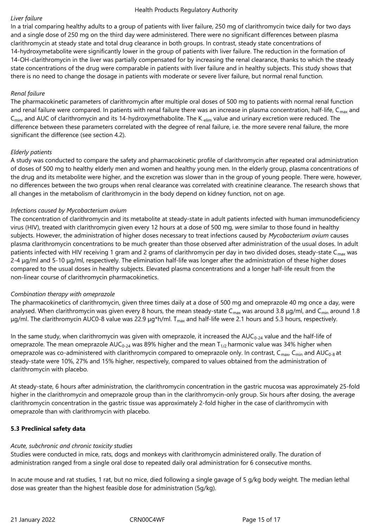#### *Liver failure*

In a trial comparing healthy adults to a group of patients with liver failure, 250 mg of clarithromycin twice daily for two days and a single dose of 250 mg on the third day were administered. There were no significant differences between plasma clarithromycin at steady state and total drug clearance in both groups. In contrast, steady state concentrations of 14-hydroxymetabolite were significantly lower in the group of patients with liver failure. The reduction in the formation of 14-OH-clarithromycin in the liver was partially compensated for by increasing the renal clearance, thanks to which the steady state concentrations of the drug were comparable in patients with liver failure and in healthy subjects. This study shows that there is no need to change the dosage in patients with moderate or severe liver failure, but normal renal function.

# *Renal failure*

The pharmacokinetic parameters of clarithromycin after multiple oral doses of 500 mg to patients with normal renal function and renal failure were compared. In patients with renal failure there was an increase in plasma concentration, half-life,  $C_{\text{max}}$  and C<sub>min</sub>, and AUC of clarithromycin and its 14-hydroxymethabolite. The K<sub>-elim</sub> value and urinary excretion were reduced. The difference between these parameters correlated with the degree of renal failure, i.e. the more severe renal failure, the more significant the difference (see section 4.2).

# *Elderly patients*

A study was conducted to compare the safety and pharmacokinetic profile of clarithromycin after repeated oral administration of doses of 500 mg to healthy elderly men and women and healthy young men. In the elderly group, plasma concentrations of the drug and its metabolite were higher, and the excretion was slower than in the group of young people. There were, however, no differences between the two groups when renal clearance was correlated with creatinine clearance. The research shows that all changes in the metabolism of clarithromycin in the body depend on kidney function, not on age.

#### *Infections caused by Mycobacterium avium*

The concentration of clarithromycin and its metabolite at steady-state in adult patients infected with human immunodeficiency virus (HIV), treated with clarithromycin given every 12 hours at a dose of 500 mg, were similar to those found in healthy subjects. However, the administration of higher doses necessary to treat infections caused by *Mycobacterium avium* causes plasma clarithromycin concentrations to be much greater than those observed after administration of the usual doses. In adult patients infected with HIV receiving 1 gram and 2 grams of clarithromycin per day in two divided doses, steady-state  $C_{\text{max}}$  was 2-4 μg/ml and 5-10 μg/ml, respectively. The elimination half-life was longer after the administration of these higher doses compared to the usual doses in healthy subjects. Elevated plasma concentrations and a longer half-life result from the non-linear course of clarithromycin pharmacokinetics.

# *Combination therapy with omeprazole*

The pharmacokinetics of clarithromycin, given three times daily at a dose of 500 mg and omeprazole 40 mg once a day, were analysed. When clarithromycin was given every 8 hours, the mean steady-state C<sub>max</sub> was around 3.8  $\mu$ g/ml, and C<sub>min</sub> around 1.8 μg/ml. The clarithromycin AUC0-8 value was 22.9 μg\*h/ml.  $T_{max}$  and half-life were 2.1 hours and 5.3 hours, respectively.

In the same study, when clarithromycin was given with omeprazole, it increased the  $AUC_{0-24}$  value and the half-life of omeprazole. The mean omeprazole AUC<sub>0-24</sub> was 89% higher and the mean T<sub>1/2</sub> harmonic value was 34% higher when omeprazole was co-administered with clarithromycin compared to omeprazole only. In contrast, C<sub>max</sub>, C<sub>min</sub> and AUC<sub>0-8</sub> at steady-state were 10%, 27% and 15% higher, respectively, compared to values obtained from the administration of clarithromycin with placebo.

At steady-state, 6 hours after administration, the clarithromycin concentration in the gastric mucosa was approximately 25-fold higher in the clarithromycin and omeprazole group than in the clarithromycin-only group. Six hours after dosing, the average clarithromycin concentration in the gastric tissue was approximately 2-fold higher in the case of clarithromycin with omeprazole than with clarithromycin with placebo.

# **5.3 Preclinical safety data**

# *Acute, subchronic and chronic toxicity studies*

Studies were conducted in mice, rats, dogs and monkeys with clarithromycin administered orally. The duration of administration ranged from a single oral dose to repeated daily oral administration for 6 consecutive months.

In acute mouse and rat studies, 1 rat, but no mice, died following a single gavage of 5 g/kg body weight. The median lethal dose was greater than the highest feasible dose for administration (5g/kg).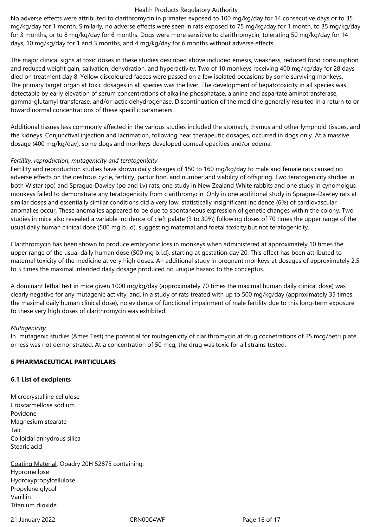No adverse effects were attributed to clarithromycin in primates exposed to 100 mg/kg/day for 14 consecutive days or to 35 mg/kg/day for 1 month. Similarly, no adverse effects were seen in rats exposed to 75 mg/kg/day for 1 month, to 35 mg/kg/day for 3 months, or to 8 mg/kg/day for 6 months. Dogs were more sensitive to clarithromycin, tolerating 50 mg/kg/day for 14 days, 10 mg/kg/day for 1 and 3 months, and 4 mg/kg/day for 6 months without adverse effects.

The major clinical signs at toxic doses in these studies described above included emesis, weakness, reduced food consumption and reduced weight gain, salivation, dehydration, and hyperactivity. Two of 10 monkeys receiving 400 mg/kg/day for 28 days died on treatment day 8. Yellow discoloured faeces were passed on a few isolated occasions by some surviving monkeys. The primary target organ at toxic dosages in all species was the liver. The development of hepatotoxicity in all species was detectable by early elevation of serum concentrations of alkaline phosphatase, alanine and aspartate aminotransferase, gamma-glutamyl transferase, and/or lactic dehydrogenase. Discontinuation of the medicine generally resulted in a return to or toward normal concentrations of these specific parameters.

Additional tissues less commonly affected in the various studies included the stomach, thymus and other lymphoid tissues, and the kidneys. Conjunctival injection and lacrimation, following near therapeutic dosages, occurred in dogs only. At a massive dosage (400 mg/kg/day), some dogs and monkeys developed corneal opacities and/or edema.

# *Fertility, reproduction, mutagenicity and teratogenicity*

Fertility and reproduction studies have shown daily dosages of 150 to 160 mg/kg/day to male and female rats caused no adverse effects on the oestrous cycle, fertility, parturition, and number and viability of offspring. Two teratogenicity studies in both Wistar (po) and Sprague-Dawley (po and i.v) rats, one study in New Zealand White rabbits and one study in cynomolgus monkeys failed to demonstrate any teratogenicity from clarithromycin. Only in one additional study in Sprague-Dawley rats at similar doses and essentially similar conditions did a very low, statistically insignificant incidence (6%) of cardiovascular anomalies occur. These anomalies appeared to be due to spontaneous expression of genetic changes within the colony. Two studies in mice also revealed a variable incidence of cleft palate (3 to 30%) following doses of 70 times the upper range of the usual daily human clinical dose (500 mg b.i.d), suggesting maternal and foetal toxicity but not teratogenicity.

Clarithromycin has been shown to produce embryonic loss in monkeys when administered at approximately 10 times the upper range of the usual daily human dose (500 mg b.i.d), starting at gestation day 20. This effect has been attributed to maternal toxicity of the medicine at very high doses. An additional study in pregnant monkeys at dosages of approximately 2.5 to 5 times the maximal intended daily dosage produced no unique hazard to the conceptus.

A dominant lethal test in mice given 1000 mg/kg/day (approximately 70 times the maximal human daily clinical dose) was clearly negative for any mutagenic activity, and, in a study of rats treated with up to 500 mg/kg/day (approximately 35 times the maximal daily human clinical dose), no evidence of functional impairment of male fertility due to this long-term exposure to these very high doses of clarithromycin was exhibited.

#### *Mutagenicity*

In mutagenic studies (Ames Test) the potential for mutagenicity of clarithromycin at drug cocnetrations of 25 mcg/petri plate or less was not demonstrated. At a concentration of 50 mcg, the drug was toxic for all strains tested.

#### **6 PHARMACEUTICAL PARTICULARS**

#### **6.1 List of excipients**

Microcrystalline cellulose Croscarmellose sodium Povidone Magnesium stearate Talc Colloidal anhydrous silica Stearic acid

Coating Material: Opadry 20H 52875 containing: Hypromellose Hydroxypropylcellulose Propylene glycol Vanillin Titanium dioxide

21 January 2022 **CRN00C4WF** Page 16 of 17